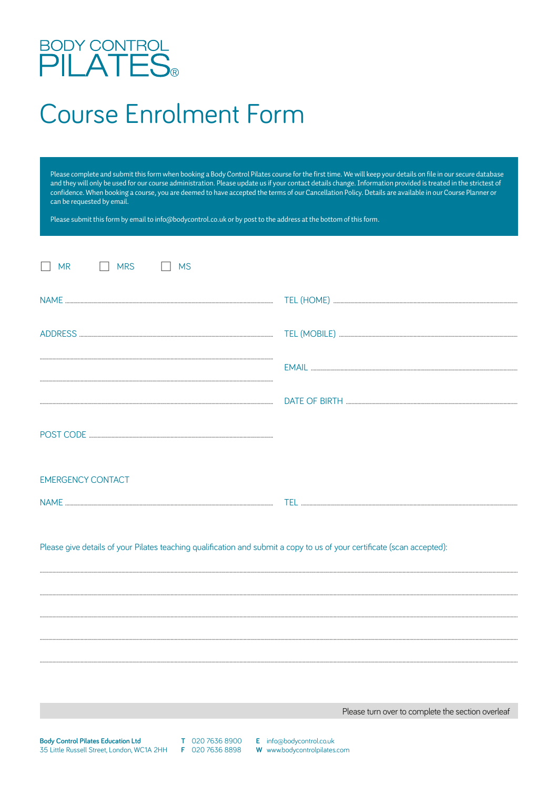## BODY CONTROL<br>PILATES®

## **Course Enrolment Form**

Please complete and submit this form when booking a Body Control Pilates course for the first time. We will keep your details on file in our secure database<br>and they will only be used for our course administration. Please confidence. When booking a course, you are deemed to have accepted the terms of our Cancellation Policy. Details are available in our Course Planner or can be requested by email.

Please submit this form by email to info@bodycontrol.co.uk or by post to the address at the bottom of this form.

| $\Box$ MR<br><b>MRS</b><br><b>MS</b>                                                                                    |  |
|-------------------------------------------------------------------------------------------------------------------------|--|
|                                                                                                                         |  |
|                                                                                                                         |  |
|                                                                                                                         |  |
|                                                                                                                         |  |
|                                                                                                                         |  |
| <b>EMERGENCY CONTACT</b>                                                                                                |  |
|                                                                                                                         |  |
| Please give details of your Pilates teaching qualification and submit a copy to us of your certificate (scan accepted): |  |
|                                                                                                                         |  |
|                                                                                                                         |  |
|                                                                                                                         |  |
|                                                                                                                         |  |
|                                                                                                                         |  |

Please turn over to complete the section overleaf

**Body Control Pilates Education Ltd** 35 Little Russell Street, London, WC1A 2HH

T 020 7636 8900 F 020 7636 8898

E info@bodycontrol.co.uk

W www.bodycontrolpilates.com